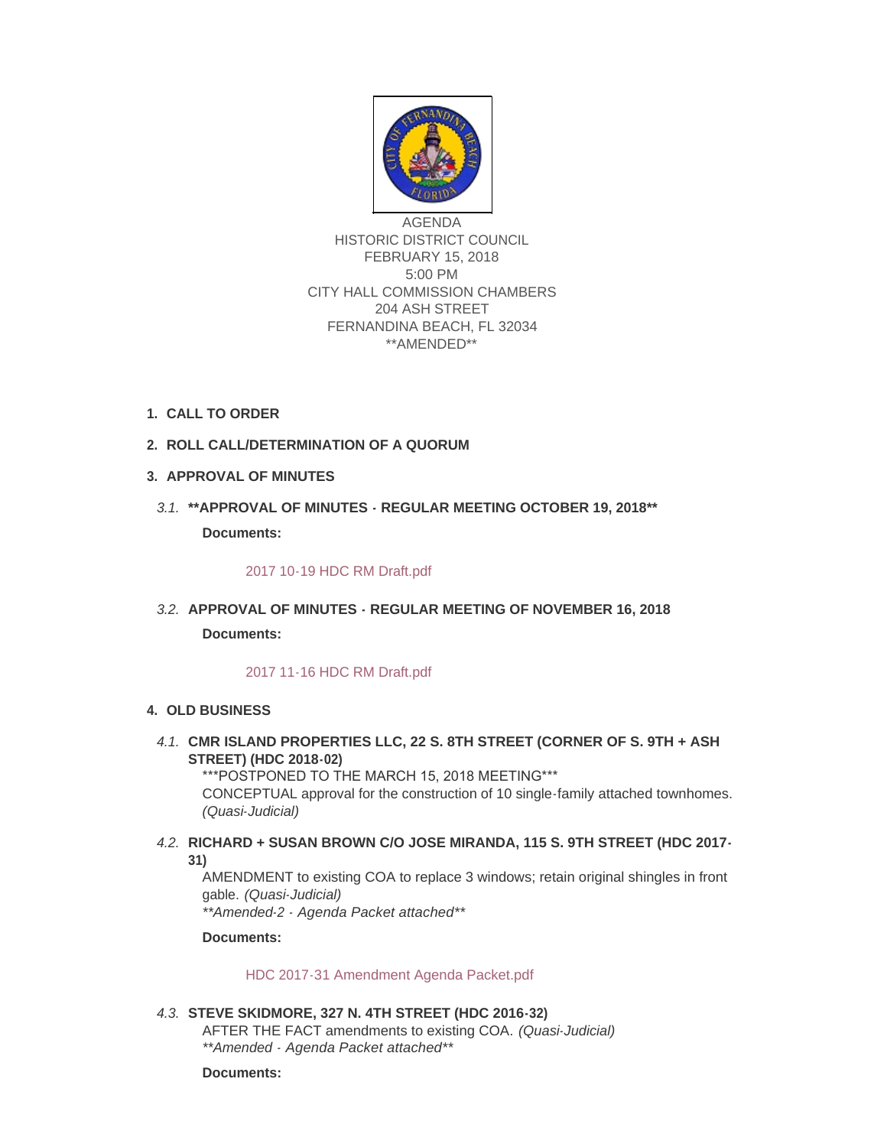

AGENDA HISTORIC DISTRICT COUNCIL FEBRUARY 15, 2018 5:00 PM CITY HALL COMMISSION CHAMBERS 204 ASH STREET FERNANDINA BEACH, FL 32034 \*\*AMENDED\*\*

- **CALL TO ORDER 1.**
- **ROLL CALL/DETERMINATION OF A QUORUM 2.**
- **APPROVAL OF MINUTES 3.**
- **\*\*APPROVAL OF MINUTES REGULAR MEETING OCTOBER 19, 2018\*\*** *3.1.* **Documents:**

# [2017 10-19 HDC RM Draft.pdf](http://fl-fernandinabeach3.civicplus.com/AgendaCenter/ViewFile/Item/8523?fileID=5551)

**APPROVAL OF MINUTES - REGULAR MEETING OF NOVEMBER 16, 2018** *3.2.* **Documents:**

# [2017 11-16 HDC RM Draft.pdf](http://fl-fernandinabeach3.civicplus.com/AgendaCenter/ViewFile/Item/8670?fileID=5538)

# **OLD BUSINESS 4.**

**CMR ISLAND PROPERTIES LLC, 22 S. 8TH STREET (CORNER OF S. 9TH + ASH**  *4.1.* **STREET) (HDC 2018-02)** \*\*\*POSTPONED TO THE MARCH 15, 2018 MEETING\*\*\*

CONCEPTUAL approval for the construction of 10 single-family attached townhomes. *(Quasi-Judicial)*

**RICHARD + SUSAN BROWN C/O JOSE MIRANDA, 115 S. 9TH STREET (HDC 2017-** *4.2.* **31)**

AMENDMENT to existing COA to replace 3 windows; retain original shingles in front gable. *(Quasi-Judicial) \*\*Amended-2 - Agenda Packet attached\*\**

**Documents:**

[HDC 2017-31 Amendment Agenda Packet.pdf](http://fl-fernandinabeach3.civicplus.com/AgendaCenter/ViewFile/Item/8643?fileID=5557)

# **STEVE SKIDMORE, 327 N. 4TH STREET (HDC 2016-32)** *4.3.*

AFTER THE FACT amendments to existing COA. *(Quasi-Judicial) \*\*Amended - Agenda Packet attached\*\**

**Documents:**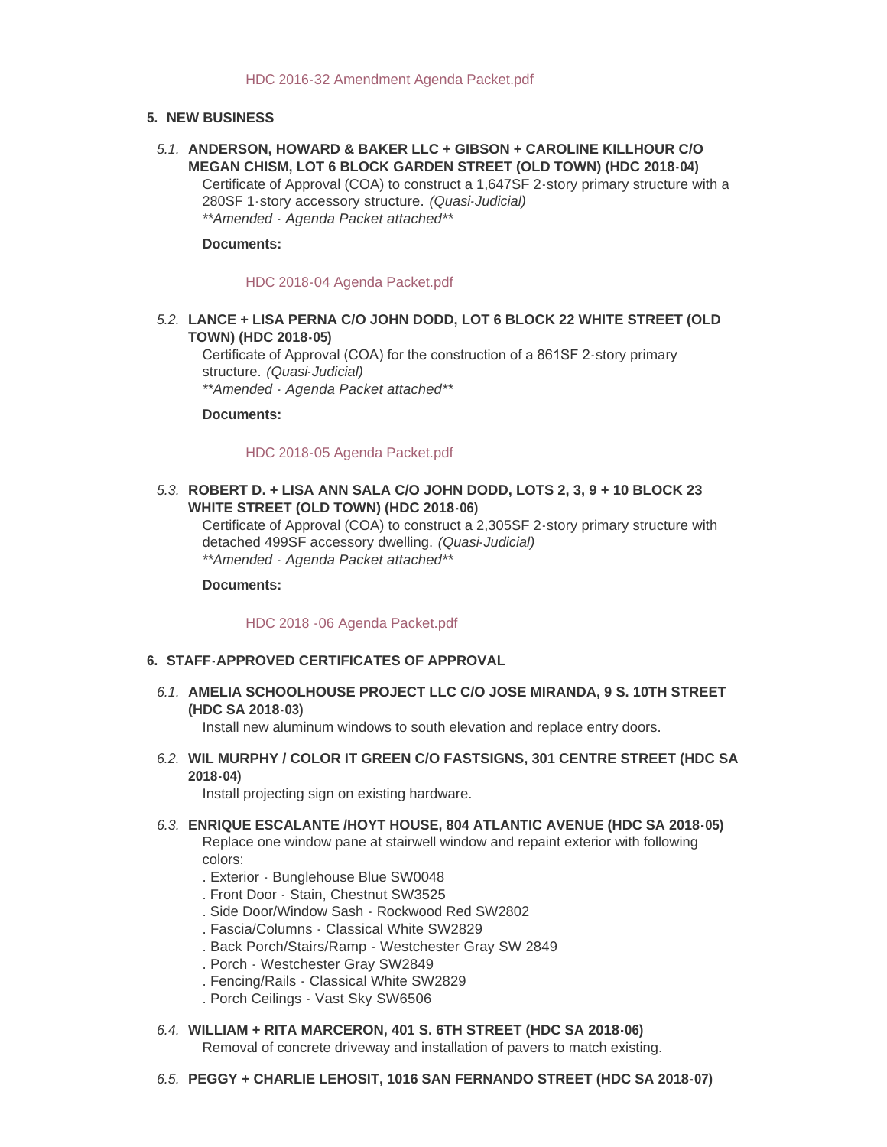### **NEW BUSINESS 5.**

**ANDERSON, HOWARD & BAKER LLC + GIBSON + CAROLINE KILLHOUR C/O**  *5.1.* **MEGAN CHISM, LOT 6 BLOCK GARDEN STREET (OLD TOWN) (HDC 2018-04)** Certificate of Approval (COA) to construct a 1,647SF 2-story primary structure with a 280SF 1-story accessory structure. *(Quasi-Judicial)*

*\*\*Amended - Agenda Packet attached\*\**

#### **Documents:**

#### [HDC 2018-04 Agenda Packet.pdf](http://fl-fernandinabeach3.civicplus.com/AgendaCenter/ViewFile/Item/8640?fileID=5552)

## **LANCE + LISA PERNA C/O JOHN DODD, LOT 6 BLOCK 22 WHITE STREET (OLD**  *5.2.* **TOWN) (HDC 2018-05)**

Certificate of Approval (COA) for the construction of a 861SF 2-story primary structure. *(Quasi-Judicial) \*\*Amended - Agenda Packet attached\*\**

**Documents:**

#### [HDC 2018-05 Agenda Packet.pdf](http://fl-fernandinabeach3.civicplus.com/AgendaCenter/ViewFile/Item/8641?fileID=5553)

## **ROBERT D. + LISA ANN SALA C/O JOHN DODD, LOTS 2, 3, 9 + 10 BLOCK 23**  *5.3.* **WHITE STREET (OLD TOWN) (HDC 2018-06)**

Certificate of Approval (COA) to construct a 2,305SF 2-story primary structure with detached 499SF accessory dwelling. *(Quasi-Judicial) \*\*Amended - Agenda Packet attached\*\**

**Documents:**

#### [HDC 2018 -06 Agenda Packet.pdf](http://fl-fernandinabeach3.civicplus.com/AgendaCenter/ViewFile/Item/8642?fileID=5554)

#### **STAFF-APPROVED CERTIFICATES OF APPROVAL 6.**

**AMELIA SCHOOLHOUSE PROJECT LLC C/O JOSE MIRANDA, 9 S. 10TH STREET**  *6.1.* **(HDC SA 2018-03)**

Install new aluminum windows to south elevation and replace entry doors.

**WIL MURPHY / COLOR IT GREEN C/O FASTSIGNS, 301 CENTRE STREET (HDC SA**  *6.2.* **2018-04)**

Install projecting sign on existing hardware.

**ENRIQUE ESCALANTE /HOYT HOUSE, 804 ATLANTIC AVENUE (HDC SA 2018-05)** *6.3.*

Replace one window pane at stairwell window and repaint exterior with following colors:

- . Exterior Bunglehouse Blue SW0048
- . Front Door Stain, Chestnut SW3525
- . Side Door/Window Sash Rockwood Red SW2802
- . Fascia/Columns Classical White SW2829
- . Back Porch/Stairs/Ramp Westchester Gray SW 2849
- . Porch Westchester Gray SW2849
- . Fencing/Rails Classical White SW2829
- . Porch Ceilings Vast Sky SW6506
- **WILLIAM + RITA MARCERON, 401 S. 6TH STREET (HDC SA 2018-06)** *6.4.*

Removal of concrete driveway and installation of pavers to match existing.

**PEGGY + CHARLIE LEHOSIT, 1016 SAN FERNANDO STREET (HDC SA 2018-07)** *6.5.*